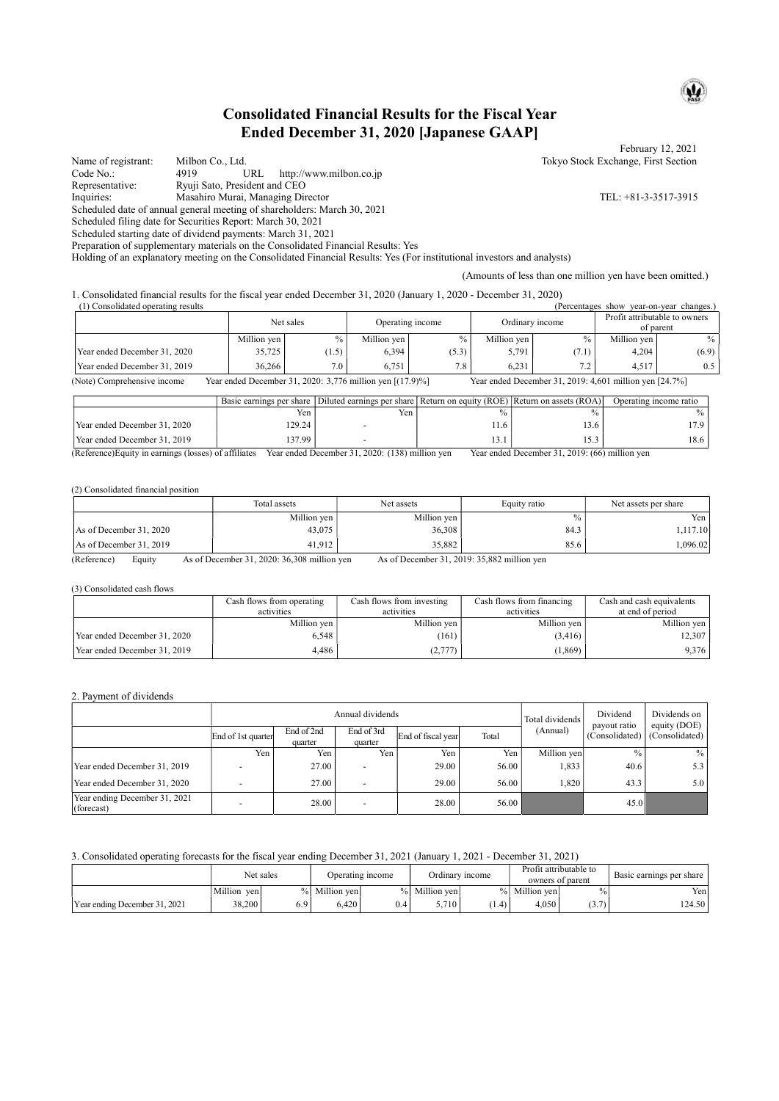# Consolidated Financial Results for the Fiscal Year Ended December 31, 2020 [Japanese GAAP]

Name of registrant: Milbon Co., Ltd. Tokyo Stock Exchange, First Section Code No.: 4919 URL http://www.milbon.co.jp Representative: Ryuji Sato, President and CEO Inquiries: Masahiro Murai, Managing Director TEL: +81-3-3517-3915 Scheduled date of annual general meeting of shareholders: March 30, 2021 Scheduled filing date for Securities Report: March 30, 2021 Scheduled starting date of dividend payments: March 31, 2021

Preparation of supplementary materials on the Consolidated Financial Results: Yes

Holding of an explanatory meeting on the Consolidated Financial Results: Yes (For institutional investors and analysts)

(Amounts of less than one million yen have been omitted.)

1. Consolidated financial results for the fiscal year ended December 31, 2020 (January 1, 2020 - December 31, 2020)  $(Percentages show year-on-year changes.)$ 

|                                                                                                                                                     |                              |             | Operating income<br>Net sales |             |         |             | Ordinary income |             | Profit attributable to owners |  |
|-----------------------------------------------------------------------------------------------------------------------------------------------------|------------------------------|-------------|-------------------------------|-------------|---------|-------------|-----------------|-------------|-------------------------------|--|
|                                                                                                                                                     |                              |             |                               |             |         |             |                 |             | of parent                     |  |
|                                                                                                                                                     |                              | Million ven |                               | Million ven | $\%$ .  | Million ven | $\%$            | Million ven | $\%$                          |  |
|                                                                                                                                                     | Year ended December 31, 2020 | 35,725      | (1.5)                         | 6.394       | (5.3)   | 5,791       | 7.1)            | 4,204       | (6.9)                         |  |
|                                                                                                                                                     | Year ended December 31, 2019 | 36.266      | 7.01                          | 6.751       | $7.8 -$ | 6.231       | 7.2             | 4.517       | 0.5                           |  |
| Year ended December 31, 2020: 3,776 million yen [(17.9)%]<br>(Note) Comprehensive income<br>Year ended December 31, 2019: 4,601 million yen [24.7%] |                              |             |                               |             |         |             |                 |             |                               |  |

|                              | Basic earnings per share | Diluted earnings per share Return on equity (ROE) Return on assets (ROA) |       |      | Operating income ratio |
|------------------------------|--------------------------|--------------------------------------------------------------------------|-------|------|------------------------|
|                              | Yen                      | Yen                                                                      |       |      |                        |
| Year ended December 31, 2020 | 29.24                    |                                                                          | . 1.6 | .3.6 | 70.                    |
| Year ended December 31, 2019 | 37.99                    |                                                                          | 19.1  |      | 18.6                   |

(Reference)Equity in earnings (losses) of affiliates Year ended December 31, 2020: (138) million yen Year ended December 31, 2019: (66) million yen

#### (2) Consolidated financial position

|                                                                                                                                           | Total assets | Net assets  | Equity ratio  | Net assets per share |  |  |  |  |  |  |
|-------------------------------------------------------------------------------------------------------------------------------------------|--------------|-------------|---------------|----------------------|--|--|--|--|--|--|
|                                                                                                                                           | Million yen  | Million ven | $\frac{0}{0}$ | Yen i                |  |  |  |  |  |  |
| $\text{As of December 31, } 2020$                                                                                                         | 43,075       | 36.308      | 84.3          | 1,117.10             |  |  |  |  |  |  |
| As of December 31, 2019                                                                                                                   | 41,912       | 35,882      | 85.6          | .096.02              |  |  |  |  |  |  |
| $(D$ oforonoo)<br>$A_0$ of December 21, 2020: 26, 208 million you<br>$A_0$ of December 21, 2010, 25, 882 million von<br>$E_{\text{unit}}$ |              |             |               |                      |  |  |  |  |  |  |

(Reference) Equity As of December 31, 2020: 36,308 million yen As of December 31, 2019: 35,882 million yen

(3) Consolidated cash flows

|                              | Cash flows from operating | Cash flows from investing | Cash flows from financing | Cash and cash equivalents |  |
|------------------------------|---------------------------|---------------------------|---------------------------|---------------------------|--|
|                              | activities                | activities                | activities                | at end of period          |  |
|                              | Million yen               | Million yen               | Million yen               | Million yen               |  |
| Year ended December 31, 2020 | 6.548                     | (161)                     | (3,416)                   | 12.307                    |  |
| Year ended December 31, 2019 | 4.486                     | (2,777)                   | (1, 869)                  | 9,376                     |  |

#### 2. Payment of dividends

|                                             |                    |                       | Annual dividends         | Total dividends    | Dividend<br>payout ratio | Dividends on<br>equity (DOE) |                |                |
|---------------------------------------------|--------------------|-----------------------|--------------------------|--------------------|--------------------------|------------------------------|----------------|----------------|
|                                             | End of 1st quarter | End of 2nd<br>quarter | End of 3rd<br>quarter    | End of fiscal year | Total                    | (Annual)                     | (Consolidated) | (Consolidated) |
|                                             | Yen                | Yen i                 | Yen                      | Yen                | Yen                      | Million yen                  | $\frac{0}{0}$  | $\frac{0}{0}$  |
| Year ended December 31, 2019                |                    | 27.00                 | ٠                        | 29.00              | 56.00                    | 1,833                        | 40.6           | 5.3            |
| Year ended December 31, 2020                |                    | 27.00                 | $\overline{\phantom{0}}$ | 29.00              | 56.00                    | 1.820                        | 43.3           | 5.0            |
| Year ending December 31, 2021<br>(forecast) |                    | 28.00                 | $\overline{\phantom{0}}$ | 28.00              | 56.00                    |                              | 45.0           |                |

## 3. Consolidated operating forecasts for the fiscal year ending December 31, 2021 (January 1, 2021 - December 31, 2021)

|                               |                | Net sales         | Operating income |     | Ordinary income |       | Profit attributable to<br>owners of parent |                | Basic earnings per share |
|-------------------------------|----------------|-------------------|------------------|-----|-----------------|-------|--------------------------------------------|----------------|--------------------------|
|                               | Million<br>ven | $\%$ <sub>1</sub> | Million vent     |     | Million ven     | $\%$  | Million vent                               | $\frac{0}{0}$  | Yen.                     |
| Year ending December 31, 2021 | 38,200         | 6.9               | 5.420            | 0.4 | 5.710           | (1.4) | 4.050                                      | (2.7)<br>(3.7) | 124.50                   |

February 12, 2021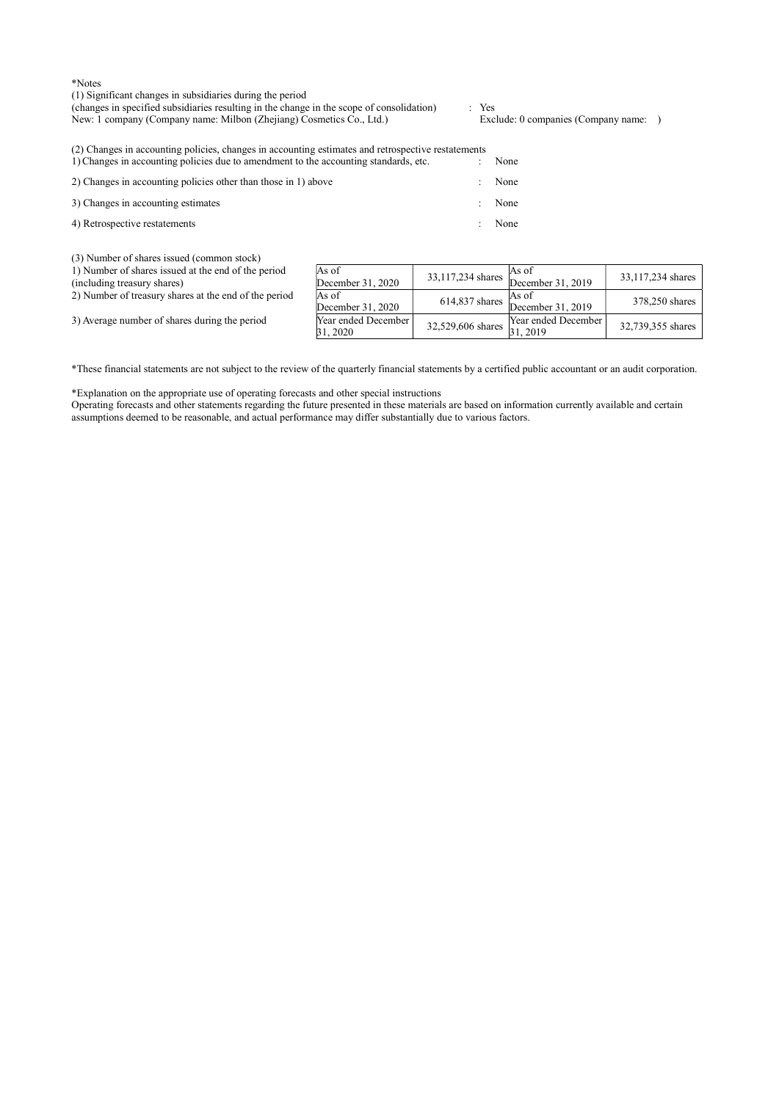\*Notes

(1) Significant changes in subsidiaries during the period

| (changes in specified subsidiaries resulting in the change in the scope of consolidation)<br>New: 1 company (Company name: Milbon (Zhejiang) Cosmetics Co., Ltd.)                          | : Yes | Exclude: 0 companies (Company name: ) |  |
|--------------------------------------------------------------------------------------------------------------------------------------------------------------------------------------------|-------|---------------------------------------|--|
| (2) Changes in accounting policies, changes in accounting estimates and retrospective restatements<br>1) Changes in accounting policies due to amendment to the accounting standards, etc. |       | None                                  |  |
| 2) Changes in accounting policies other than those in 1) above                                                                                                                             |       | None                                  |  |
| 3) Changes in accounting estimates                                                                                                                                                         |       | None                                  |  |
| 4) Retrospective restatements                                                                                                                                                              |       | None                                  |  |

(3) Number of shares issued (common stock)

1) Number of shares issued at the end of the period

(including treasury shares)

| 2) Number of treasury shares at the end of the period | As of |
|-------------------------------------------------------|-------|
|                                                       | Decen |

3) Average number of shares during the period

| As of<br>December 31, 2020     |                   | As of<br>33,117,234 shares $\overline{\text{December 31, 2019}}$ | 33,117,234 shares |
|--------------------------------|-------------------|------------------------------------------------------------------|-------------------|
| As of<br>December 31, 2020     |                   | As of<br>614,837 shares $\sum_{\text{December 31, 2019}}$        | 378,250 shares    |
| Year ended December<br>31.2020 | 32,529,606 shares | Year ended December<br>.2019                                     | 32,739,355 shares |

\*These financial statements are not subject to the review of the quarterly financial statements by a certified public accountant or an audit corporation.

\*Explanation on the appropriate use of operating forecasts and other special instructions

Operating forecasts and other statements regarding the future presented in these materials are based on information currently available and certain assumptions deemed to be reasonable, and actual performance may differ substantially due to various factors.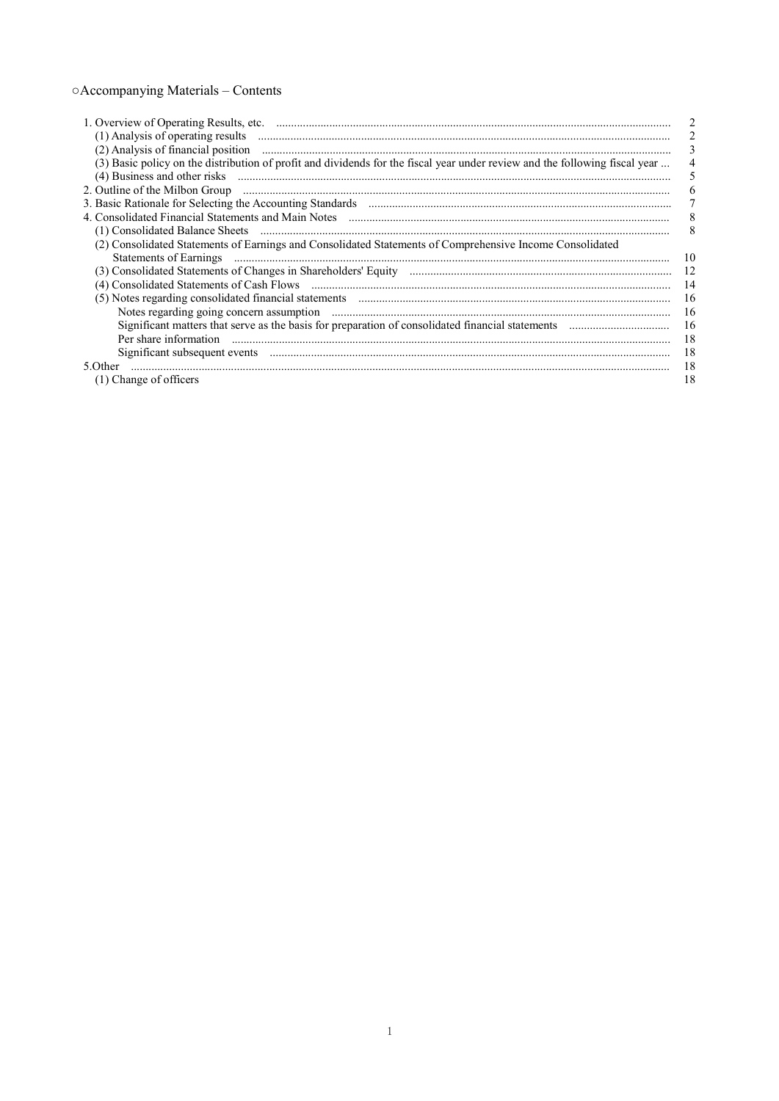# ○Accompanying Materials - Contents

| (2) Analysis of financial position manufactured and properties of financial position<br>(3) Basic policy on the distribution of profit and dividends for the fiscal year under review and the following fiscal year<br>2. Outline of the Milbon Group <i>manufacture compared to the Milbon Group</i> and the Milbon Group <b>manufacture</b> compared to the Milbon Group <b>manufacture</b> compared to the Milbon Group <b>manufacture</b> control of the Milbon Group<br>(2) Consolidated Statements of Earnings and Consolidated Statements of Comprehensive Income Consolidated | $\overline{2}$<br>3<br>8<br>8 |
|---------------------------------------------------------------------------------------------------------------------------------------------------------------------------------------------------------------------------------------------------------------------------------------------------------------------------------------------------------------------------------------------------------------------------------------------------------------------------------------------------------------------------------------------------------------------------------------|-------------------------------|
| Statements of Earnings <i>machines and construction of the construction</i> and construction of the construction of the construction of the construction of the construction of the construction of the construction of the constru                                                                                                                                                                                                                                                                                                                                                   | 10                            |
|                                                                                                                                                                                                                                                                                                                                                                                                                                                                                                                                                                                       |                               |
|                                                                                                                                                                                                                                                                                                                                                                                                                                                                                                                                                                                       |                               |
|                                                                                                                                                                                                                                                                                                                                                                                                                                                                                                                                                                                       | 16                            |
|                                                                                                                                                                                                                                                                                                                                                                                                                                                                                                                                                                                       | 16                            |
|                                                                                                                                                                                                                                                                                                                                                                                                                                                                                                                                                                                       | 16                            |
| Per share information                                                                                                                                                                                                                                                                                                                                                                                                                                                                                                                                                                 | 18                            |
|                                                                                                                                                                                                                                                                                                                                                                                                                                                                                                                                                                                       | 18                            |
| 5.Other                                                                                                                                                                                                                                                                                                                                                                                                                                                                                                                                                                               | 18                            |
| ) Change of officers                                                                                                                                                                                                                                                                                                                                                                                                                                                                                                                                                                  | 18                            |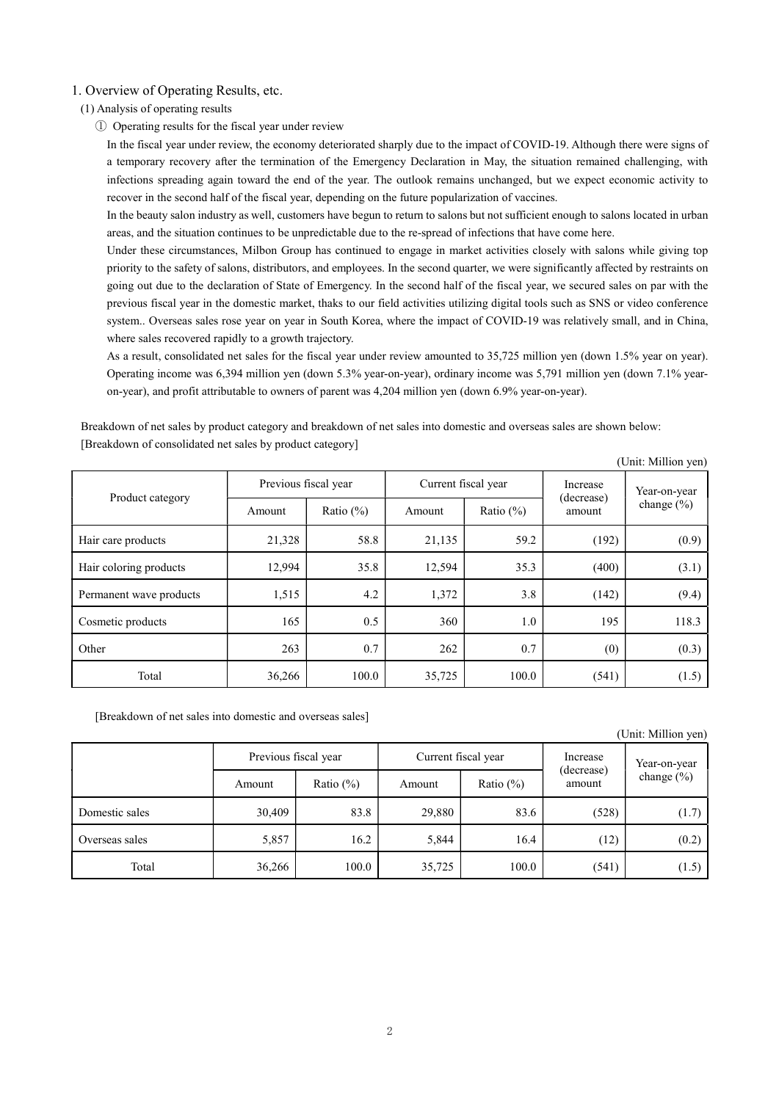# 1. Overview of Operating Results, etc.

# (1) Analysis of operating results

① Operating results for the fiscal year under review

In the fiscal year under review, the economy deteriorated sharply due to the impact of COVID-19. Although there were signs of a temporary recovery after the termination of the Emergency Declaration in May, the situation remained challenging, with infections spreading again toward the end of the year. The outlook remains unchanged, but we expect economic activity to recover in the second half of the fiscal year, depending on the future popularization of vaccines.

In the beauty salon industry as well, customers have begun to return to salons but not sufficient enough to salons located in urban areas, and the situation continues to be unpredictable due to the re-spread of infections that have come here.

Under these circumstances, Milbon Group has continued to engage in market activities closely with salons while giving top priority to the safety of salons, distributors, and employees. In the second quarter, we were significantly affected by restraints on going out due to the declaration of State of Emergency. In the second half of the fiscal year, we secured sales on par with the previous fiscal year in the domestic market, thaks to our field activities utilizing digital tools such as SNS or video conference system.. Overseas sales rose year on year in South Korea, where the impact of COVID-19 was relatively small, and in China, where sales recovered rapidly to a growth trajectory.

As a result, consolidated net sales for the fiscal year under review amounted to 35,725 million yen (down 1.5% year on year). Operating income was 6,394 million yen (down 5.3% year-on-year), ordinary income was 5,791 million yen (down 7.1% yearon-year), and profit attributable to owners of parent was 4,204 million yen (down 6.9% year-on-year).

Breakdown of net sales by product category and breakdown of net sales into domestic and overseas sales are shown below: [Breakdown of consolidated net sales by product category]

(Unit: Million yen)

| Product category        | Previous fiscal year |              | Current fiscal year |              | Increase<br>(decrease) | Year-on-year   |  |
|-------------------------|----------------------|--------------|---------------------|--------------|------------------------|----------------|--|
|                         | Amount               | Ratio $(\%)$ | Amount              | Ratio $(\%)$ | amount                 | change $(\% )$ |  |
| Hair care products      | 21,328               | 58.8         | 21,135              | 59.2         | (192)                  | (0.9)          |  |
| Hair coloring products  | 12,994               | 35.8         | 12,594              | 35.3         | (400)                  | (3.1)          |  |
| Permanent wave products | 1,515                | 4.2          | 1,372               | 3.8          | (142)                  | (9.4)          |  |
| Cosmetic products       | 165                  | 0.5          | 360                 | 1.0          | 195                    | 118.3          |  |
| Other                   | 263                  | 0.7          | 262                 | 0.7          | (0)                    | (0.3)          |  |
| Total                   | 36,266               | 100.0        | 35,725              | 100.0        | (541)                  | (1.5)          |  |

[Breakdown of net sales into domestic and overseas sales]

### (Unit: Million yen)

|                | Previous fiscal year |              | Current fiscal year |               | Increase<br>(decrease) | Year-on-year   |
|----------------|----------------------|--------------|---------------------|---------------|------------------------|----------------|
|                | Amount               | Ratio $(\%)$ | Amount              | Ratio $(\% )$ | amount                 | change $(\% )$ |
| Domestic sales | 30,409               | 83.8         | 29,880              | 83.6          | (528)                  | (1.7)          |
| Overseas sales | 5,857                | 16.2         | 5,844               | 16.4          | (12)                   | (0.2)          |
| Total          | 36,266               | 100.0        | 35,725              | 100.0         | (541)                  | (1.5)          |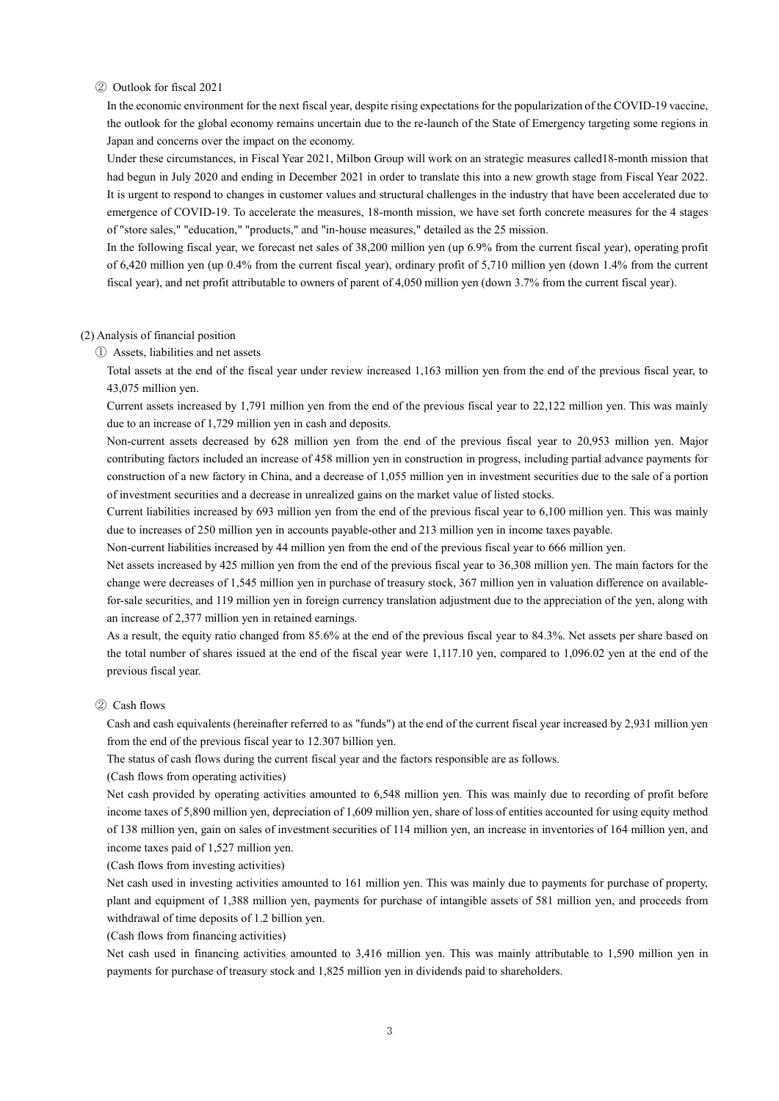### ② Outlook for fiscal 2021

In the economic environment for the next fiscal year, despite rising expectations for the popularization of the COVID-19 vaccine, the outlook for the global economy remains uncertain due to the re-launch of the State of Emergency targeting some regions in Japan and concerns over the impact on the economy.

Under these circumstances, in Fiscal Year 2021, Milbon Group will work on an strategic measures called18-month mission that had begun in July 2020 and ending in December 2021 in order to translate this into a new growth stage from Fiscal Year 2022. It is urgent to respond to changes in customer values and structural challenges in the industry that have been accelerated due to emergence of COVID-19. To accelerate the measures, 18-month mission, we have set forth concrete measures for the 4 stages of "store sales," "education," "products," and "in-house measures," detailed as the 25 mission.

In the following fiscal year, we forecast net sales of 38,200 million yen (up 6.9% from the current fiscal year), operating profit of 6,420 million yen (up 0.4% from the current fiscal year), ordinary profit of 5,710 million yen (down 1.4% from the current fiscal year), and net profit attributable to owners of parent of 4,050 million yen (down 3.7% from the current fiscal year).

### (2) Analysis of financial position

### ① Assets, liabilities and net assets

Total assets at the end of the fiscal year under review increased 1,163 million yen from the end of the previous fiscal year, to 43,075 million yen.

Current assets increased by 1,791 million yen from the end of the previous fiscal year to 22,122 million yen. This was mainly due to an increase of 1,729 million yen in cash and deposits.

Non-current assets decreased by 628 million yen from the end of the previous fiscal year to 20,953 million yen. Major contributing factors included an increase of 458 million yen in construction in progress, including partial advance payments for construction of a new factory in China, and a decrease of 1,055 million yen in investment securities due to the sale of a portion of investment securities and a decrease in unrealized gains on the market value of listed stocks.

Current liabilities increased by 693 million yen from the end of the previous fiscal year to 6,100 million yen. This was mainly due to increases of 250 million yen in accounts payable-other and 213 million yen in income taxes payable.

Non-current liabilities increased by 44 million yen from the end of the previous fiscal year to 666 million yen.

Net assets increased by 425 million yen from the end of the previous fiscal year to 36,308 million yen. The main factors for the change were decreases of 1,545 million yen in purchase of treasury stock, 367 million yen in valuation difference on availablefor-sale securities, and 119 million yen in foreign currency translation adjustment due to the appreciation of the yen, along with an increase of 2,377 million yen in retained earnings.

As a result, the equity ratio changed from 85.6% at the end of the previous fiscal year to 84.3%. Net assets per share based on the total number of shares issued at the end of the fiscal year were 1,117.10 yen, compared to 1,096.02 yen at the end of the previous fiscal year.

### ② Cash flows

Cash and cash equivalents (hereinafter referred to as "funds") at the end of the current fiscal year increased by 2,931 million yen from the end of the previous fiscal year to 12.307 billion yen.

The status of cash flows during the current fiscal year and the factors responsible are as follows.

(Cash flows from operating activities)

Net cash provided by operating activities amounted to 6,548 million yen. This was mainly due to recording of profit before income taxes of 5,890 million yen, depreciation of 1,609 million yen, share of loss of entities accounted for using equity method of 138 million yen, gain on sales of investment securities of 114 million yen, an increase in inventories of 164 million yen, and income taxes paid of 1,527 million yen.

(Cash flows from investing activities)

Net cash used in investing activities amounted to 161 million yen. This was mainly due to payments for purchase of property, plant and equipment of 1,388 million yen, payments for purchase of intangible assets of 581 million yen, and proceeds from withdrawal of time deposits of 1.2 billion yen.

(Cash flows from financing activities)

Net cash used in financing activities amounted to 3,416 million yen. This was mainly attributable to 1,590 million yen in payments for purchase of treasury stock and 1,825 million yen in dividends paid to shareholders.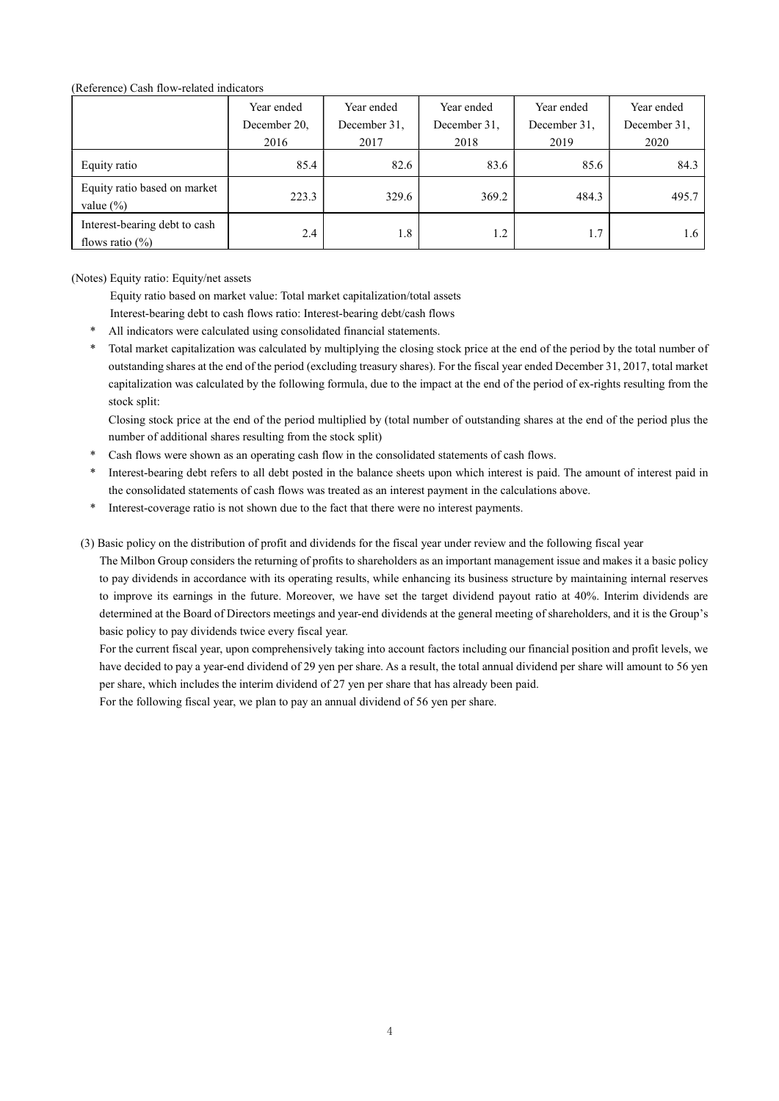# (Reference) Cash flow-related indicators

|                                                     | Year ended   | Year ended   | Year ended   | Year ended   | Year ended   |
|-----------------------------------------------------|--------------|--------------|--------------|--------------|--------------|
|                                                     | December 20, | December 31, | December 31, | December 31, | December 31, |
|                                                     | 2016         | 2017         | 2018         | 2019         | 2020         |
| Equity ratio                                        | 85.4         | 82.6         | 83.6         | 85.6         | 84.3         |
| Equity ratio based on market<br>value $(\% )$       | 223.3        | 329.6        | 369.2        | 484.3        | 495.7        |
| Interest-bearing debt to cash<br>flows ratio $(\%)$ | 2.4          | 1.8          | 1.2          | 1.7          | 1.6          |

(Notes) Equity ratio: Equity/net assets

Equity ratio based on market value: Total market capitalization/total assets

Interest-bearing debt to cash flows ratio: Interest-bearing debt/cash flows

- All indicators were calculated using consolidated financial statements.
- Total market capitalization was calculated by multiplying the closing stock price at the end of the period by the total number of outstanding shares at the end of the period (excluding treasury shares). For the fiscal year ended December 31, 2017, total market capitalization was calculated by the following formula, due to the impact at the end of the period of ex-rights resulting from the stock split:

 Closing stock price at the end of the period multiplied by (total number of outstanding shares at the end of the period plus the number of additional shares resulting from the stock split)

- Cash flows were shown as an operating cash flow in the consolidated statements of cash flows.
- Interest-bearing debt refers to all debt posted in the balance sheets upon which interest is paid. The amount of interest paid in the consolidated statements of cash flows was treated as an interest payment in the calculations above.
- Interest-coverage ratio is not shown due to the fact that there were no interest payments.

(3) Basic policy on the distribution of profit and dividends for the fiscal year under review and the following fiscal year

The Milbon Group considers the returning of profits to shareholders as an important management issue and makes it a basic policy to pay dividends in accordance with its operating results, while enhancing its business structure by maintaining internal reserves to improve its earnings in the future. Moreover, we have set the target dividend payout ratio at 40%. Interim dividends are determined at the Board of Directors meetings and year-end dividends at the general meeting of shareholders, and it is the Group's basic policy to pay dividends twice every fiscal year.

For the current fiscal year, upon comprehensively taking into account factors including our financial position and profit levels, we have decided to pay a year-end dividend of 29 yen per share. As a result, the total annual dividend per share will amount to 56 yen per share, which includes the interim dividend of 27 yen per share that has already been paid.

For the following fiscal year, we plan to pay an annual dividend of 56 yen per share.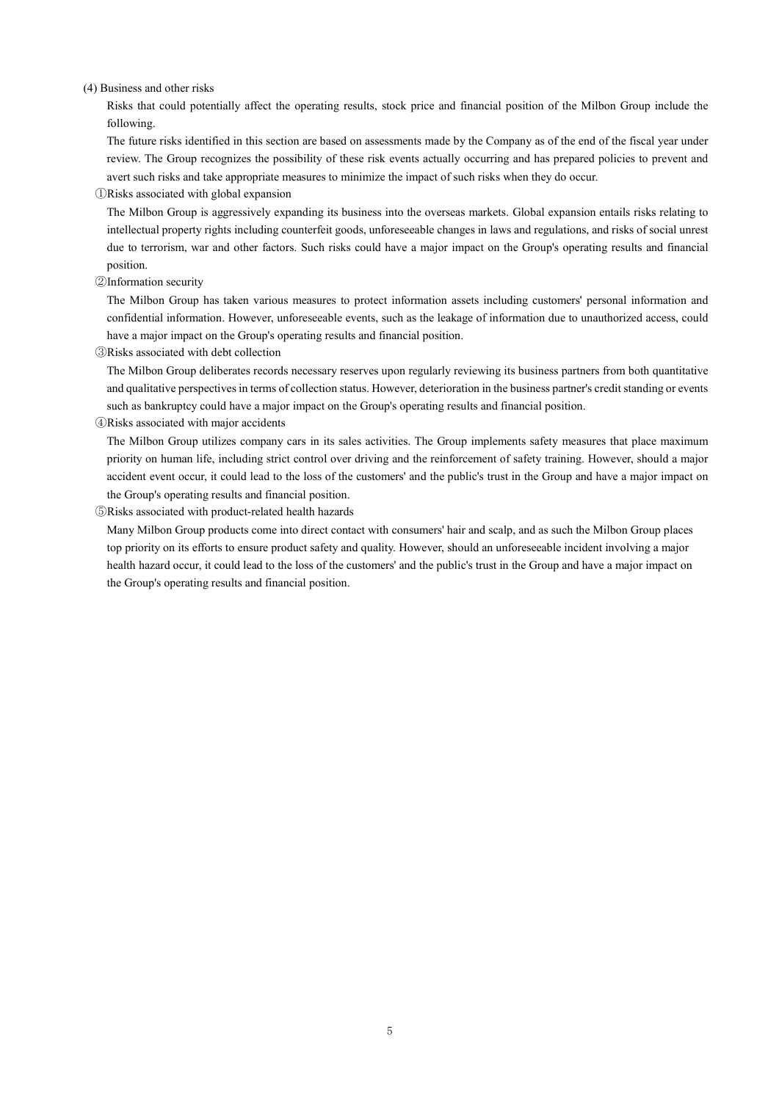### (4) Business and other risks

Risks that could potentially affect the operating results, stock price and financial position of the Milbon Group include the following.

The future risks identified in this section are based on assessments made by the Company as of the end of the fiscal year under review. The Group recognizes the possibility of these risk events actually occurring and has prepared policies to prevent and avert such risks and take appropriate measures to minimize the impact of such risks when they do occur.

①Risks associated with global expansion

The Milbon Group is aggressively expanding its business into the overseas markets. Global expansion entails risks relating to intellectual property rights including counterfeit goods, unforeseeable changes in laws and regulations, and risks of social unrest due to terrorism, war and other factors. Such risks could have a major impact on the Group's operating results and financial position.

②Information security

The Milbon Group has taken various measures to protect information assets including customers' personal information and confidential information. However, unforeseeable events, such as the leakage of information due to unauthorized access, could have a major impact on the Group's operating results and financial position.

③Risks associated with debt collection

The Milbon Group deliberates records necessary reserves upon regularly reviewing its business partners from both quantitative and qualitative perspectives in terms of collection status. However, deterioration in the business partner's credit standing or events such as bankruptcy could have a major impact on the Group's operating results and financial position.

④Risks associated with major accidents

The Milbon Group utilizes company cars in its sales activities. The Group implements safety measures that place maximum priority on human life, including strict control over driving and the reinforcement of safety training. However, should a major accident event occur, it could lead to the loss of the customers' and the public's trust in the Group and have a major impact on the Group's operating results and financial position.

⑤Risks associated with product-related health hazards

Many Milbon Group products come into direct contact with consumers' hair and scalp, and as such the Milbon Group places top priority on its efforts to ensure product safety and quality. However, should an unforeseeable incident involving a major health hazard occur, it could lead to the loss of the customers' and the public's trust in the Group and have a major impact on the Group's operating results and financial position.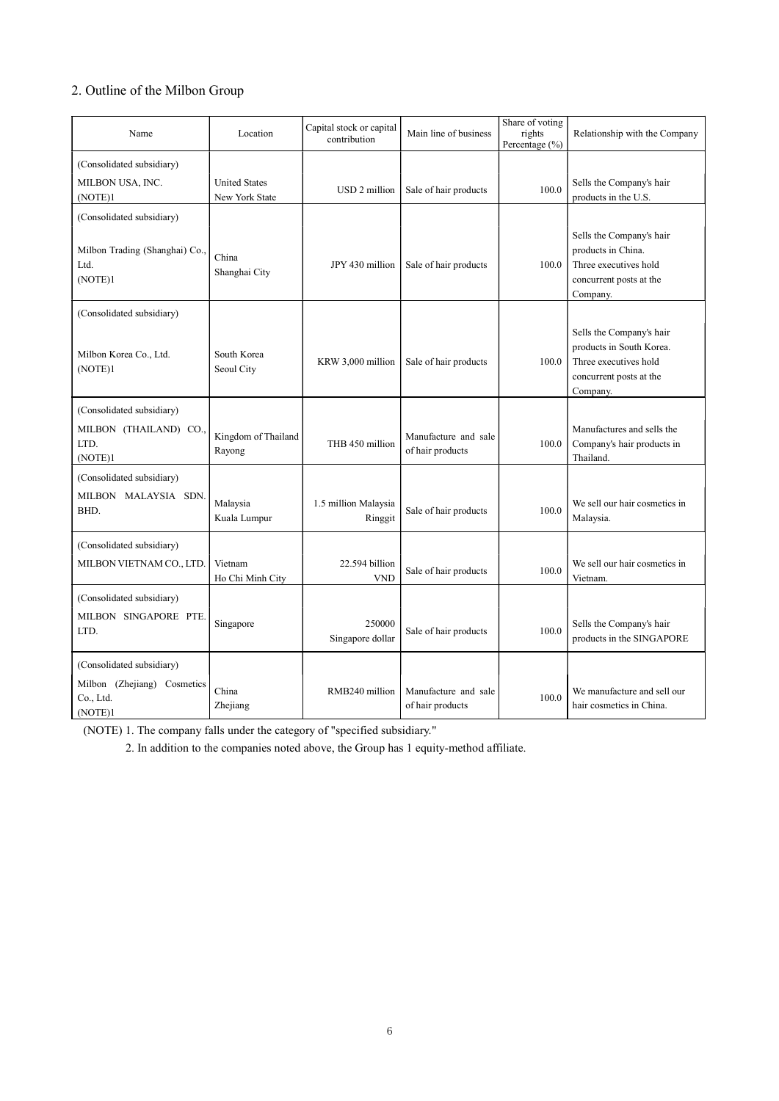# 2. Outline of the Milbon Group

| Name                                                | Location                               | Capital stock or capital<br>contribution | Main line of business                    | Share of voting<br>rights<br>Percentage (%) | Relationship with the Company                                                                                        |
|-----------------------------------------------------|----------------------------------------|------------------------------------------|------------------------------------------|---------------------------------------------|----------------------------------------------------------------------------------------------------------------------|
| (Consolidated subsidiary)                           |                                        |                                          |                                          |                                             |                                                                                                                      |
| MILBON USA, INC.<br>(NOTE)1                         | <b>United States</b><br>New York State | USD 2 million                            | Sale of hair products                    | 100.0                                       | Sells the Company's hair<br>products in the U.S.                                                                     |
| (Consolidated subsidiary)                           |                                        |                                          |                                          |                                             |                                                                                                                      |
| Milbon Trading (Shanghai) Co.,<br>Ltd.<br>(NOTE)1   | China<br>Shanghai City                 | JPY 430 million                          | Sale of hair products                    | 100.0                                       | Sells the Company's hair<br>products in China.<br>Three executives hold<br>concurrent posts at the<br>Company.       |
| (Consolidated subsidiary)                           |                                        |                                          |                                          |                                             |                                                                                                                      |
| Milbon Korea Co., Ltd.<br>(NOTE)1                   | South Korea<br>Seoul City              | KRW 3,000 million                        | Sale of hair products                    | 100.0                                       | Sells the Company's hair<br>products in South Korea.<br>Three executives hold<br>concurrent posts at the<br>Company. |
| (Consolidated subsidiary)                           |                                        |                                          |                                          |                                             |                                                                                                                      |
| MILBON (THAILAND) CO.,<br>LTD.<br>(NOTE)1           | Kingdom of Thailand<br>Rayong          | THB 450 million                          | Manufacture and sale<br>of hair products | 100.0                                       | Manufactures and sells the<br>Company's hair products in<br>Thailand.                                                |
| (Consolidated subsidiary)                           |                                        |                                          |                                          |                                             |                                                                                                                      |
| MILBON MALAYSIA SDN.<br>BHD.                        | Malaysia<br>Kuala Lumpur               | 1.5 million Malaysia<br>Ringgit          | Sale of hair products                    | 100.0                                       | We sell our hair cosmetics in<br>Malaysia.                                                                           |
| (Consolidated subsidiary)                           |                                        |                                          |                                          |                                             |                                                                                                                      |
| MILBON VIETNAM CO., LTD.                            | Vietnam<br>Ho Chi Minh City            | 22.594 billion<br><b>VND</b>             | Sale of hair products                    | 100.0                                       | We sell our hair cosmetics in<br>Vietnam.                                                                            |
| (Consolidated subsidiary)                           |                                        |                                          |                                          |                                             |                                                                                                                      |
| MILBON SINGAPORE PTE.<br>LTD.                       | Singapore                              | 250000<br>Singapore dollar               | Sale of hair products                    | 100.0                                       | Sells the Company's hair<br>products in the SINGAPORE                                                                |
| (Consolidated subsidiary)                           |                                        |                                          |                                          |                                             |                                                                                                                      |
| Milbon (Zhejiang) Cosmetics<br>Co., Ltd.<br>(NOTE)1 | China<br>Zhejiang                      | RMB240 million                           | Manufacture and sale<br>of hair products | 100.0                                       | We manufacture and sell our<br>hair cosmetics in China.                                                              |

(NOTE) 1. The company falls under the category of "specified subsidiary."

2. In addition to the companies noted above, the Group has 1 equity-method affiliate.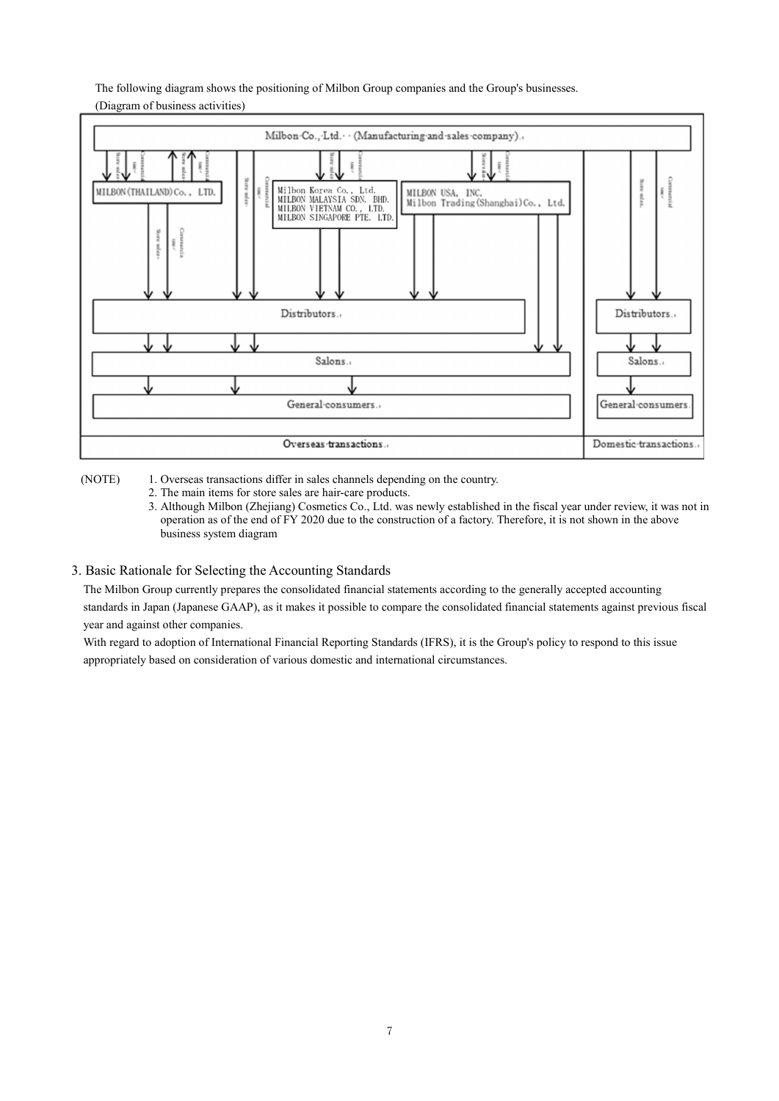The following diagram shows the positioning of Milbon Group companies and the Group's businesses. (Diagram of business activities)



(NOTE) 1. Overseas transactions differ in sales channels depending on the country.

2. The main items for store sales are hair-care products.

3. Although Milbon (Zhejiang) Cosmetics Co., Ltd. was newly established in the fiscal year under review, it was not in operation as of the end of FY 2020 due to the construction of a factory. Therefore, it is not shown in the above business system diagram

## 3. Basic Rationale for Selecting the Accounting Standards

The Milbon Group currently prepares the consolidated financial statements according to the generally accepted accounting standards in Japan (Japanese GAAP), as it makes it possible to compare the consolidated financial statements against previous fiscal year and against other companies.

With regard to adoption of International Financial Reporting Standards (IFRS), it is the Group's policy to respond to this issue appropriately based on consideration of various domestic and international circumstances.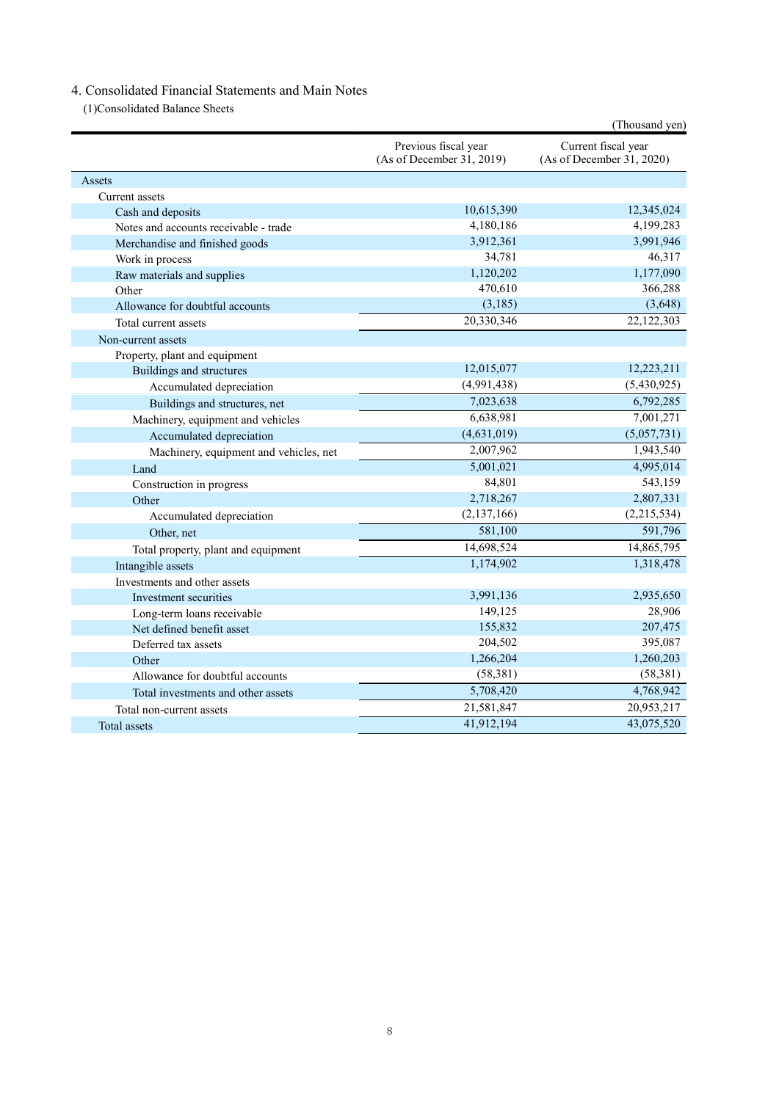# 4. Consolidated Financial Statements and Main Notes

(1)Consolidated Balance Sheets

|                                        |                                                   | (Thousand yen)                                   |
|----------------------------------------|---------------------------------------------------|--------------------------------------------------|
|                                        | Previous fiscal year<br>(As of December 31, 2019) | Current fiscal year<br>(As of December 31, 2020) |
| Assets                                 |                                                   |                                                  |
| Current assets                         |                                                   |                                                  |
| Cash and deposits                      | 10,615,390                                        | 12,345,024                                       |
| Notes and accounts receivable - trade  | 4,180,186                                         | 4,199,283                                        |
| Merchandise and finished goods         | 3,912,361                                         | 3,991,946                                        |
| Work in process                        | 34,781                                            | 46,317                                           |
| Raw materials and supplies             | 1,120,202                                         | 1,177,090                                        |
| Other                                  | 470,610                                           | 366,288                                          |
| Allowance for doubtful accounts        | (3,185)                                           | (3,648)                                          |
| Total current assets                   | 20,330,346                                        | 22,122,303                                       |
| Non-current assets                     |                                                   |                                                  |
| Property, plant and equipment          |                                                   |                                                  |
| Buildings and structures               | 12,015,077                                        | 12,223,211                                       |
| Accumulated depreciation               | (4,991,438)                                       | (5,430,925)                                      |
| Buildings and structures, net          | 7,023,638                                         | 6,792,285                                        |
| Machinery, equipment and vehicles      | 6,638,981                                         | 7,001,271                                        |
| Accumulated depreciation               | (4,631,019)                                       | (5,057,731)                                      |
| Machinery, equipment and vehicles, net | 2,007,962                                         | 1,943,540                                        |
| Land                                   | 5,001,021                                         | 4,995,014                                        |
| Construction in progress               | 84,801                                            | 543,159                                          |
| Other                                  | 2,718,267                                         | 2,807,331                                        |
| Accumulated depreciation               | (2,137,166)                                       | (2,215,534)                                      |
| Other, net                             | 581,100                                           | 591,796                                          |
| Total property, plant and equipment    | 14,698,524                                        | 14,865,795                                       |
| Intangible assets                      | 1,174,902                                         | 1,318,478                                        |
| Investments and other assets           |                                                   |                                                  |
| Investment securities                  | 3,991,136                                         | 2,935,650                                        |
| Long-term loans receivable             | 149,125                                           | 28,906                                           |
| Net defined benefit asset              | 155,832                                           | 207,475                                          |
| Deferred tax assets                    | 204,502                                           | 395,087                                          |
| Other                                  | 1,266,204                                         | 1,260,203                                        |
| Allowance for doubtful accounts        | (58,381)                                          | (58, 381)                                        |
| Total investments and other assets     | 5,708,420                                         | 4,768,942                                        |
| Total non-current assets               | 21,581,847                                        | 20,953,217                                       |
| <b>Total</b> assets                    | 41,912,194                                        | 43,075,520                                       |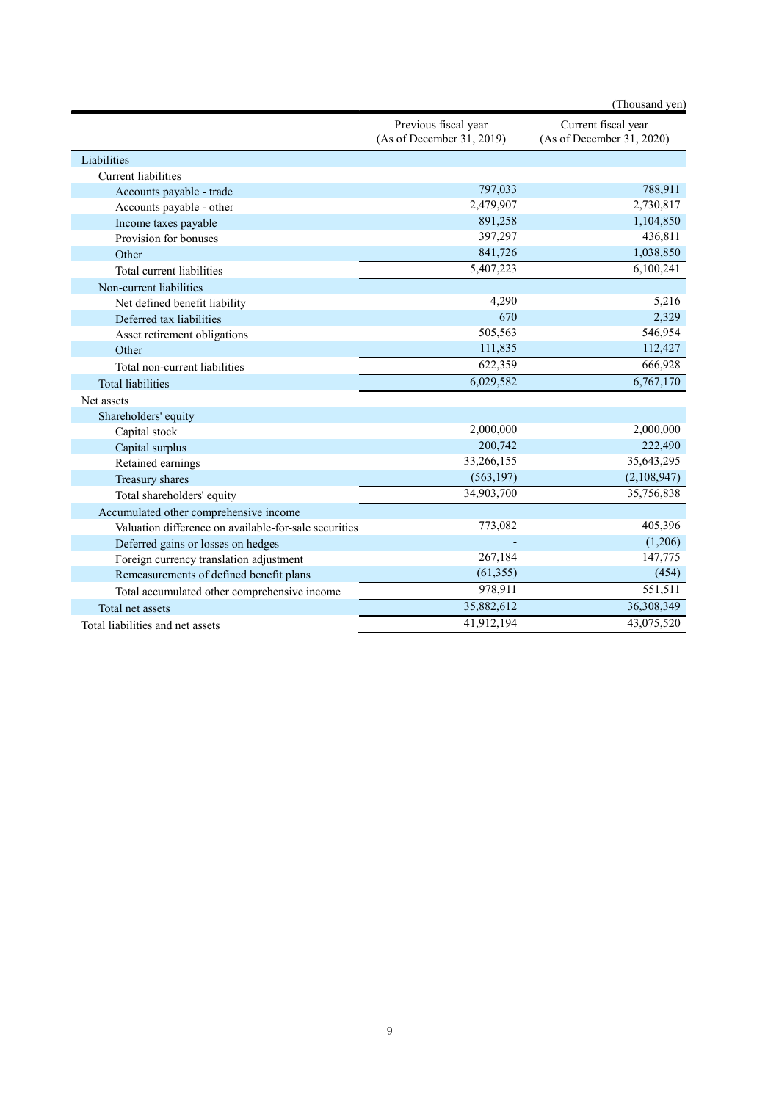|                                                       |                                                   | (Thousand yen)                                   |
|-------------------------------------------------------|---------------------------------------------------|--------------------------------------------------|
|                                                       | Previous fiscal year<br>(As of December 31, 2019) | Current fiscal year<br>(As of December 31, 2020) |
| Liabilities                                           |                                                   |                                                  |
| <b>Current</b> liabilities                            |                                                   |                                                  |
| Accounts payable - trade                              | 797,033                                           | 788,911                                          |
| Accounts payable - other                              | 2,479,907                                         | 2,730,817                                        |
| Income taxes payable                                  | 891,258                                           | 1,104,850                                        |
| Provision for bonuses                                 | 397,297                                           | 436,811                                          |
| Other                                                 | 841,726                                           | 1,038,850                                        |
| Total current liabilities                             | 5,407,223                                         | 6,100,241                                        |
| Non-current liabilities                               |                                                   |                                                  |
| Net defined benefit liability                         | 4,290                                             | 5,216                                            |
| Deferred tax liabilities                              | 670                                               | 2,329                                            |
| Asset retirement obligations                          | 505,563                                           | 546,954                                          |
| Other                                                 | 111,835                                           | 112,427                                          |
| Total non-current liabilities                         | 622,359                                           | 666,928                                          |
| <b>Total liabilities</b>                              | 6,029,582                                         | 6,767,170                                        |
| Net assets                                            |                                                   |                                                  |
| Shareholders' equity                                  |                                                   |                                                  |
| Capital stock                                         | 2,000,000                                         | 2,000,000                                        |
| Capital surplus                                       | 200,742                                           | 222,490                                          |
| Retained earnings                                     | 33,266,155                                        | 35,643,295                                       |
| Treasury shares                                       | (563, 197)                                        | (2,108,947)                                      |
| Total shareholders' equity                            | 34,903,700                                        | 35,756,838                                       |
| Accumulated other comprehensive income                |                                                   |                                                  |
| Valuation difference on available-for-sale securities | 773,082                                           | 405,396                                          |
| Deferred gains or losses on hedges                    |                                                   | (1,206)                                          |
| Foreign currency translation adjustment               | 267,184                                           | 147,775                                          |
| Remeasurements of defined benefit plans               | (61, 355)                                         | (454)                                            |
| Total accumulated other comprehensive income          | 978,911                                           | 551,511                                          |
| Total net assets                                      | 35,882,612                                        | 36,308,349                                       |
| Total liabilities and net assets                      | 41,912,194                                        | 43,075,520                                       |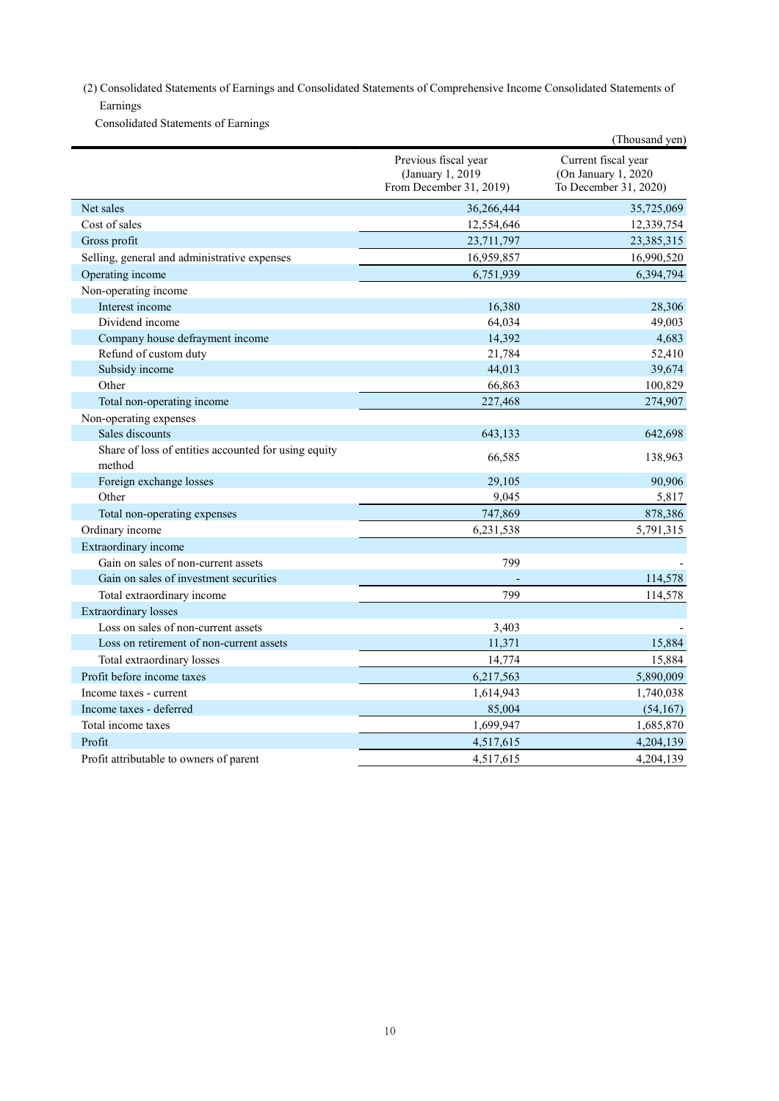(2) Consolidated Statements of Earnings and Consolidated Statements of Comprehensive Income Consolidated Statements of Earnings

Consolidated Statements of Earnings

|                                                                | Previous fiscal year<br>(January 1, 2019)<br>From December 31, 2019) | Current fiscal year<br>(On January 1, 2020<br>To December 31, 2020) |
|----------------------------------------------------------------|----------------------------------------------------------------------|---------------------------------------------------------------------|
| Net sales                                                      | 36,266,444                                                           | 35,725,069                                                          |
| Cost of sales                                                  | 12,554,646                                                           | 12,339,754                                                          |
| Gross profit                                                   | 23,711,797                                                           | 23,385,315                                                          |
| Selling, general and administrative expenses                   | 16,959,857                                                           | 16,990,520                                                          |
| Operating income                                               | 6,751,939                                                            | 6,394,794                                                           |
| Non-operating income                                           |                                                                      |                                                                     |
| Interest income                                                | 16,380                                                               | 28,306                                                              |
| Dividend income                                                | 64,034                                                               | 49,003                                                              |
| Company house defrayment income                                | 14,392                                                               | 4,683                                                               |
| Refund of custom duty                                          | 21,784                                                               | 52,410                                                              |
| Subsidy income                                                 | 44,013                                                               | 39,674                                                              |
| Other                                                          | 66,863                                                               | 100,829                                                             |
| Total non-operating income                                     | 227,468                                                              | 274,907                                                             |
| Non-operating expenses                                         |                                                                      |                                                                     |
| Sales discounts                                                | 643,133                                                              | 642,698                                                             |
| Share of loss of entities accounted for using equity<br>method | 66,585                                                               | 138,963                                                             |
| Foreign exchange losses                                        | 29.105                                                               | 90,906                                                              |
| Other                                                          | 9,045                                                                | 5,817                                                               |
| Total non-operating expenses                                   | 747,869                                                              | 878,386                                                             |
| Ordinary income                                                | 6,231,538                                                            | 5,791,315                                                           |
| Extraordinary income                                           |                                                                      |                                                                     |
| Gain on sales of non-current assets                            | 799                                                                  |                                                                     |
| Gain on sales of investment securities                         |                                                                      | 114,578                                                             |
| Total extraordinary income                                     | 799                                                                  | 114,578                                                             |
| <b>Extraordinary losses</b>                                    |                                                                      |                                                                     |
| Loss on sales of non-current assets                            | 3,403                                                                |                                                                     |
| Loss on retirement of non-current assets                       | 11,371                                                               | 15,884                                                              |
| Total extraordinary losses                                     | 14,774                                                               | 15,884                                                              |
| Profit before income taxes                                     | 6,217,563                                                            | 5,890,009                                                           |
| Income taxes - current                                         | 1,614,943                                                            | 1,740,038                                                           |
| Income taxes - deferred                                        | 85,004                                                               | (54, 167)                                                           |
| Total income taxes                                             | 1,699,947                                                            | 1,685,870                                                           |
| Profit                                                         | 4,517,615                                                            | 4,204,139                                                           |
| Profit attributable to owners of parent                        | 4,517,615                                                            | 4,204,139                                                           |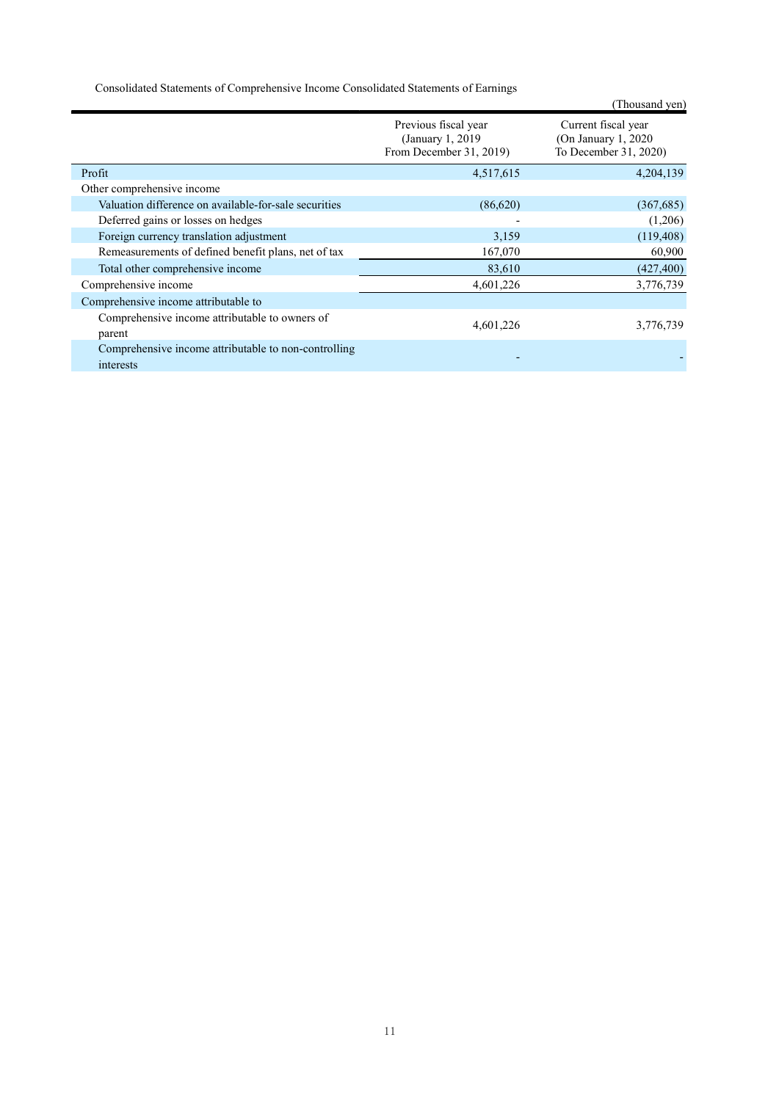Consolidated Statements of Comprehensive Income Consolidated Statements of Earnings

|                                                                   | o                                                                    | (Thousand yen)                                                       |
|-------------------------------------------------------------------|----------------------------------------------------------------------|----------------------------------------------------------------------|
|                                                                   | Previous fiscal year<br>(January 1, 2019)<br>From December 31, 2019) | Current fiscal year<br>(On January 1, 2020)<br>To December 31, 2020) |
| Profit                                                            | 4,517,615                                                            | 4,204,139                                                            |
| Other comprehensive income                                        |                                                                      |                                                                      |
| Valuation difference on available-for-sale securities             | (86,620)                                                             | (367,685)                                                            |
| Deferred gains or losses on hedges                                |                                                                      | (1,206)                                                              |
| Foreign currency translation adjustment                           | 3,159                                                                | (119, 408)                                                           |
| Remeasurements of defined benefit plans, net of tax               | 167,070                                                              | 60,900                                                               |
| Total other comprehensive income                                  | 83,610                                                               | (427, 400)                                                           |
| Comprehensive income                                              | 4,601,226                                                            | 3,776,739                                                            |
| Comprehensive income attributable to                              |                                                                      |                                                                      |
| Comprehensive income attributable to owners of<br>parent          | 4,601,226                                                            | 3,776,739                                                            |
| Comprehensive income attributable to non-controlling<br>interests |                                                                      |                                                                      |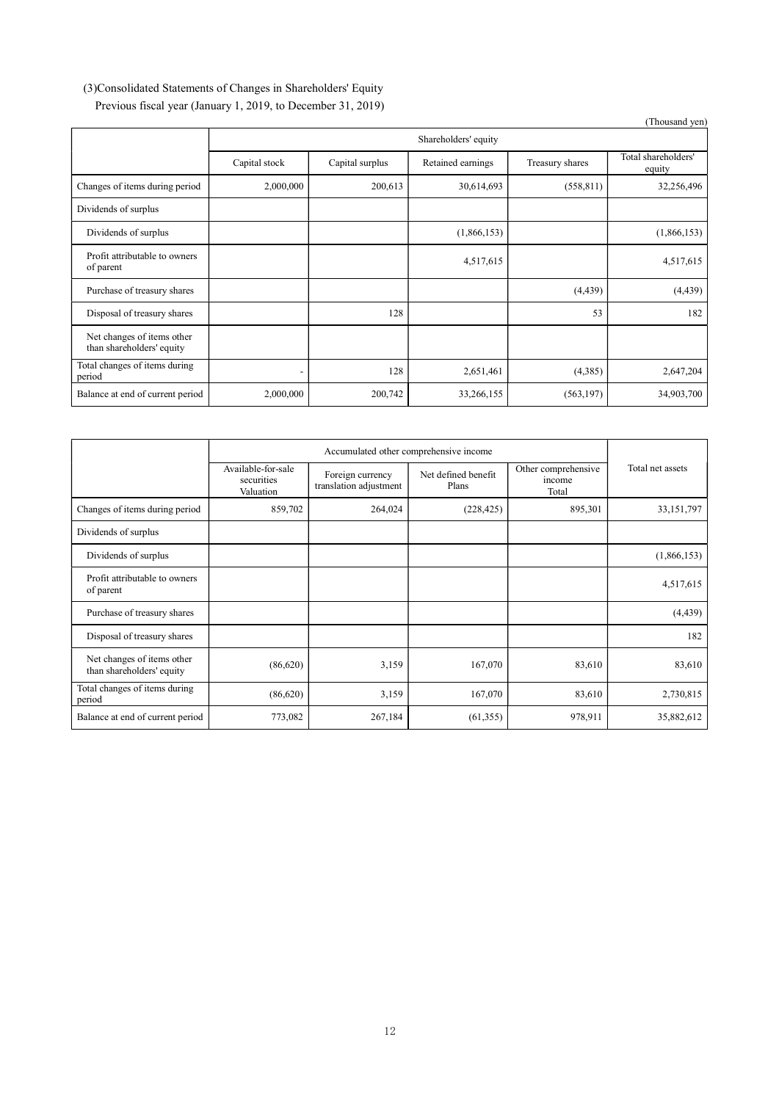# (3)Consolidated Statements of Changes in Shareholders' Equity Previous fiscal year (January 1, 2019, to December 31, 2019)

|                                                         |               |                      |                   |                 | (Thousand yen)                |  |
|---------------------------------------------------------|---------------|----------------------|-------------------|-----------------|-------------------------------|--|
|                                                         |               | Shareholders' equity |                   |                 |                               |  |
|                                                         | Capital stock | Capital surplus      | Retained earnings | Treasury shares | Total shareholders'<br>equity |  |
| Changes of items during period                          | 2,000,000     | 200,613              | 30,614,693        | (558, 811)      | 32,256,496                    |  |
| Dividends of surplus                                    |               |                      |                   |                 |                               |  |
| Dividends of surplus                                    |               |                      | (1,866,153)       |                 | (1,866,153)                   |  |
| Profit attributable to owners<br>of parent              |               |                      | 4,517,615         |                 | 4,517,615                     |  |
| Purchase of treasury shares                             |               |                      |                   | (4, 439)        | (4, 439)                      |  |
| Disposal of treasury shares                             |               | 128                  |                   | 53              | 182                           |  |
| Net changes of items other<br>than shareholders' equity |               |                      |                   |                 |                               |  |
| Total changes of items during<br>period                 |               | 128                  | 2,651,461         | (4,385)         | 2,647,204                     |  |
| Balance at end of current period                        | 2,000,000     | 200,742              | 33,266,155        | (563, 197)      | 34,903,700                    |  |

|                                                         | Available-for-sale<br>securities<br>Valuation | Foreign currency<br>translation adjustment | Net defined benefit<br>Plans | Other comprehensive<br>income<br>Total | Total net assets |
|---------------------------------------------------------|-----------------------------------------------|--------------------------------------------|------------------------------|----------------------------------------|------------------|
| Changes of items during period                          | 859,702                                       | 264,024                                    | (228, 425)                   | 895,301                                | 33,151,797       |
| Dividends of surplus                                    |                                               |                                            |                              |                                        |                  |
| Dividends of surplus                                    |                                               |                                            |                              |                                        | (1,866,153)      |
| Profit attributable to owners<br>of parent              |                                               |                                            |                              |                                        | 4,517,615        |
| Purchase of treasury shares                             |                                               |                                            |                              |                                        | (4, 439)         |
| Disposal of treasury shares                             |                                               |                                            |                              |                                        | 182              |
| Net changes of items other<br>than shareholders' equity | (86,620)                                      | 3,159                                      | 167,070                      | 83,610                                 | 83,610           |
| Total changes of items during<br>period                 | (86,620)                                      | 3,159                                      | 167,070                      | 83,610                                 | 2,730,815        |
| Balance at end of current period                        | 773,082                                       | 267,184                                    | (61, 355)                    | 978,911                                | 35,882,612       |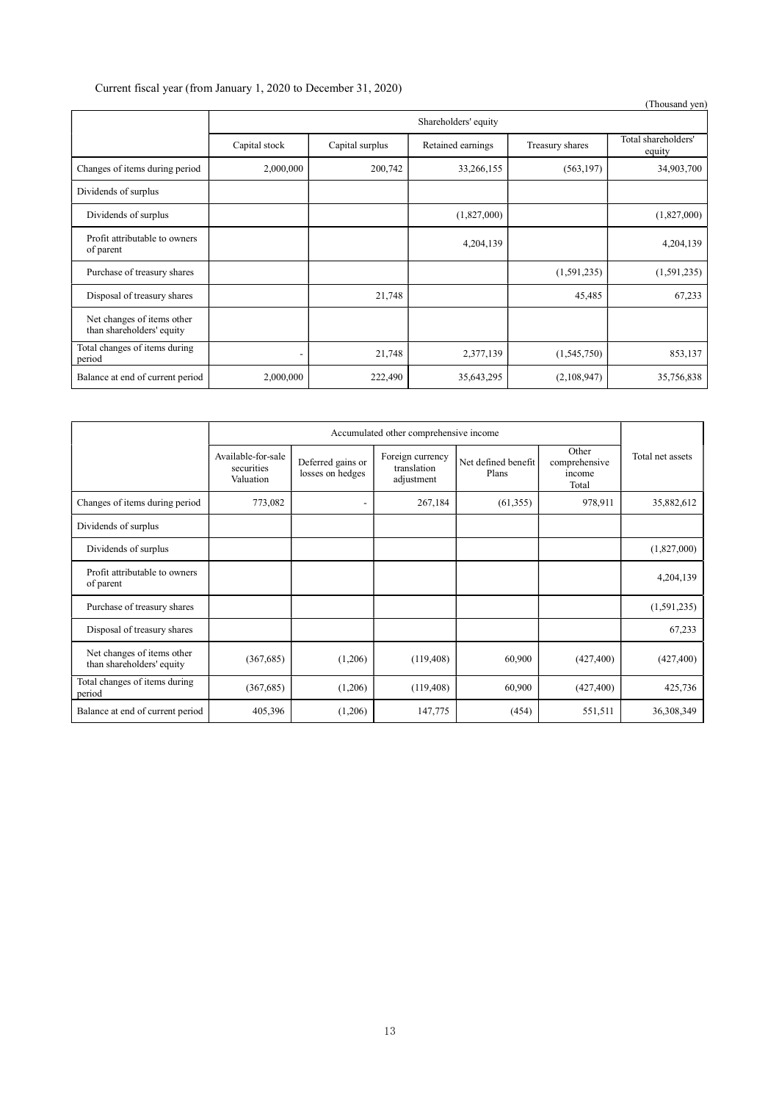# Current fiscal year (from January 1, 2020 to December 31, 2020)

|                                                         |               |                 |                      |                 | (Thousand yen)                |
|---------------------------------------------------------|---------------|-----------------|----------------------|-----------------|-------------------------------|
|                                                         |               |                 | Shareholders' equity |                 |                               |
|                                                         | Capital stock | Capital surplus | Retained earnings    | Treasury shares | Total shareholders'<br>equity |
| Changes of items during period                          | 2,000,000     | 200,742         | 33,266,155           | (563, 197)      | 34,903,700                    |
| Dividends of surplus                                    |               |                 |                      |                 |                               |
| Dividends of surplus                                    |               |                 | (1,827,000)          |                 | (1,827,000)                   |
| Profit attributable to owners<br>of parent              |               |                 | 4,204,139            |                 | 4,204,139                     |
| Purchase of treasury shares                             |               |                 |                      | (1,591,235)     | (1,591,235)                   |
| Disposal of treasury shares                             |               | 21,748          |                      | 45,485          | 67,233                        |
| Net changes of items other<br>than shareholders' equity |               |                 |                      |                 |                               |
| Total changes of items during<br>period                 |               | 21,748          | 2,377,139            | (1,545,750)     | 853,137                       |
| Balance at end of current period                        | 2,000,000     | 222,490         | 35,643,295           | (2,108,947)     | 35,756,838                    |

|                                                         | Accumulated other comprehensive income        |                                       |                                               |                              |                                           |                  |
|---------------------------------------------------------|-----------------------------------------------|---------------------------------------|-----------------------------------------------|------------------------------|-------------------------------------------|------------------|
|                                                         | Available-for-sale<br>securities<br>Valuation | Deferred gains or<br>losses on hedges | Foreign currency<br>translation<br>adjustment | Net defined benefit<br>Plans | Other<br>comprehensive<br>income<br>Total | Total net assets |
| Changes of items during period                          | 773,082                                       |                                       | 267,184                                       | (61,355)                     | 978,911                                   | 35,882,612       |
| Dividends of surplus                                    |                                               |                                       |                                               |                              |                                           |                  |
| Dividends of surplus                                    |                                               |                                       |                                               |                              |                                           | (1,827,000)      |
| Profit attributable to owners<br>of parent              |                                               |                                       |                                               |                              |                                           | 4,204,139        |
| Purchase of treasury shares                             |                                               |                                       |                                               |                              |                                           | (1,591,235)      |
| Disposal of treasury shares                             |                                               |                                       |                                               |                              |                                           | 67,233           |
| Net changes of items other<br>than shareholders' equity | (367, 685)                                    | (1,206)                               | (119, 408)                                    | 60,900                       | (427, 400)                                | (427, 400)       |
| Total changes of items during<br>period                 | (367, 685)                                    | (1,206)                               | (119, 408)                                    | 60,900                       | (427, 400)                                | 425,736          |
| Balance at end of current period                        | 405,396                                       | (1,206)                               | 147,775                                       | (454)                        | 551,511                                   | 36,308,349       |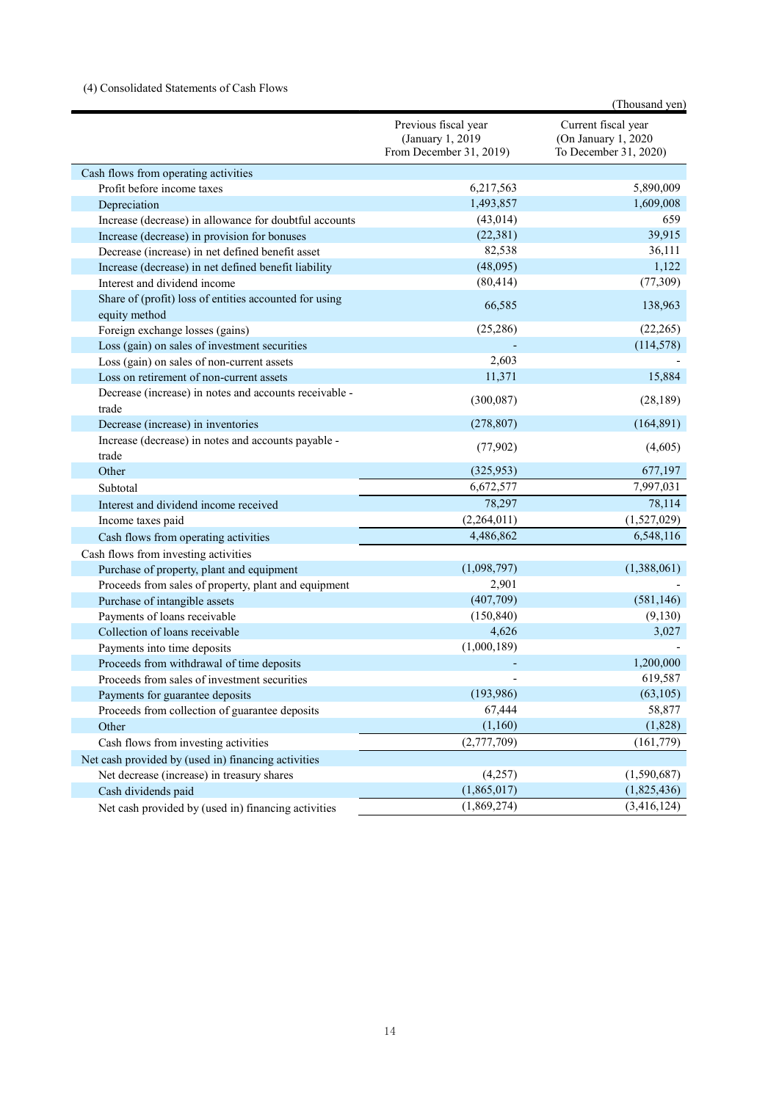# (4) Consolidated Statements of Cash Flows

|                                                                 |                                                                      | (Thousand yen)                                                      |
|-----------------------------------------------------------------|----------------------------------------------------------------------|---------------------------------------------------------------------|
|                                                                 | Previous fiscal year<br>(January 1, 2019)<br>From December 31, 2019) | Current fiscal year<br>(On January 1, 2020<br>To December 31, 2020) |
| Cash flows from operating activities                            |                                                                      |                                                                     |
| Profit before income taxes                                      | 6,217,563                                                            | 5,890,009                                                           |
| Depreciation                                                    | 1,493,857                                                            | 1,609,008                                                           |
| Increase (decrease) in allowance for doubtful accounts          | (43, 014)                                                            | 659                                                                 |
| Increase (decrease) in provision for bonuses                    | (22, 381)                                                            | 39,915                                                              |
| Decrease (increase) in net defined benefit asset                | 82,538                                                               | 36,111                                                              |
| Increase (decrease) in net defined benefit liability            | (48,095)                                                             | 1,122                                                               |
| Interest and dividend income                                    | (80, 414)                                                            | (77, 309)                                                           |
| Share of (profit) loss of entities accounted for using          | 66,585                                                               | 138,963                                                             |
| equity method                                                   |                                                                      |                                                                     |
| Foreign exchange losses (gains)                                 | (25, 286)                                                            | (22, 265)                                                           |
| Loss (gain) on sales of investment securities                   |                                                                      | (114, 578)                                                          |
| Loss (gain) on sales of non-current assets                      | 2,603                                                                |                                                                     |
| Loss on retirement of non-current assets                        | 11,371                                                               | 15,884                                                              |
| Decrease (increase) in notes and accounts receivable -<br>trade | (300,087)                                                            | (28, 189)                                                           |
| Decrease (increase) in inventories                              | (278, 807)                                                           | (164, 891)                                                          |
| Increase (decrease) in notes and accounts payable -<br>trade    | (77,902)                                                             | (4,605)                                                             |
| Other                                                           | (325, 953)                                                           | 677,197                                                             |
| Subtotal                                                        | 6,672,577                                                            | 7,997,031                                                           |
| Interest and dividend income received                           | 78,297                                                               | 78,114                                                              |
| Income taxes paid                                               | (2,264,011)                                                          | (1,527,029)                                                         |
| Cash flows from operating activities                            | 4,486,862                                                            | 6,548,116                                                           |
| Cash flows from investing activities                            |                                                                      |                                                                     |
| Purchase of property, plant and equipment                       | (1,098,797)                                                          | (1,388,061)                                                         |
| Proceeds from sales of property, plant and equipment            | 2,901                                                                |                                                                     |
| Purchase of intangible assets                                   | (407,709)                                                            | (581, 146)                                                          |
| Payments of loans receivable                                    | (150, 840)                                                           | (9,130)                                                             |
| Collection of loans receivable                                  | 4,626                                                                | 3,027                                                               |
| Payments into time deposits                                     | (1,000,189)                                                          |                                                                     |
| Proceeds from withdrawal of time deposits                       |                                                                      | 1,200,000                                                           |
| Proceeds from sales of investment securities                    |                                                                      | 619,587                                                             |
| Payments for guarantee deposits                                 | (193,986)                                                            | (63, 105)                                                           |
| Proceeds from collection of guarantee deposits                  | 67,444                                                               | 58,877                                                              |
| Other                                                           | (1,160)                                                              | (1,828)                                                             |
| Cash flows from investing activities                            | (2,777,709)                                                          | (161,779)                                                           |
| Net cash provided by (used in) financing activities             |                                                                      |                                                                     |
| Net decrease (increase) in treasury shares                      | (4,257)                                                              | (1,590,687)                                                         |
| Cash dividends paid                                             | (1,865,017)                                                          | (1,825,436)                                                         |
| Net cash provided by (used in) financing activities             | (1,869,274)                                                          | (3,416,124)                                                         |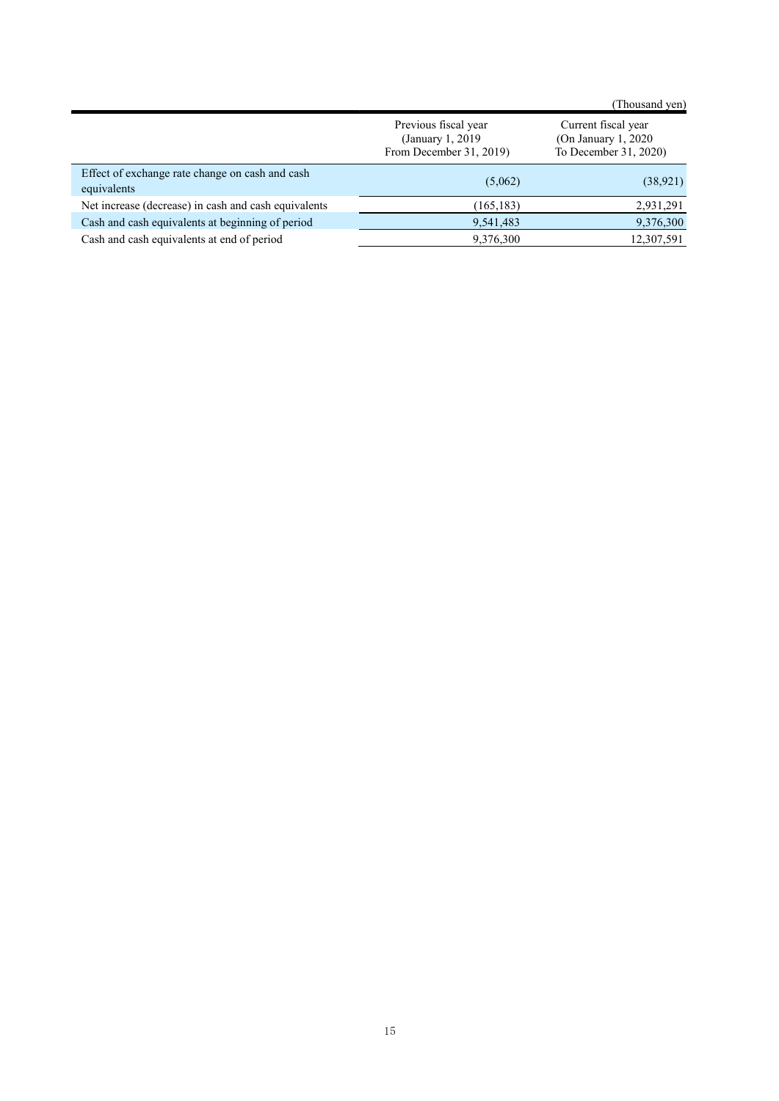|                                                                |                                                                      | (Thousand yen)                                                       |
|----------------------------------------------------------------|----------------------------------------------------------------------|----------------------------------------------------------------------|
|                                                                | Previous fiscal year<br>(January 1, 2019)<br>From December 31, 2019) | Current fiscal year<br>(On January 1, 2020)<br>To December 31, 2020) |
| Effect of exchange rate change on cash and cash<br>equivalents | (5,062)                                                              | (38, 921)                                                            |
| Net increase (decrease) in cash and cash equivalents           | (165, 183)                                                           | 2,931,291                                                            |
| Cash and cash equivalents at beginning of period               | 9,541,483                                                            | 9,376,300                                                            |
| Cash and cash equivalents at end of period                     | 9,376,300                                                            | 12,307,591                                                           |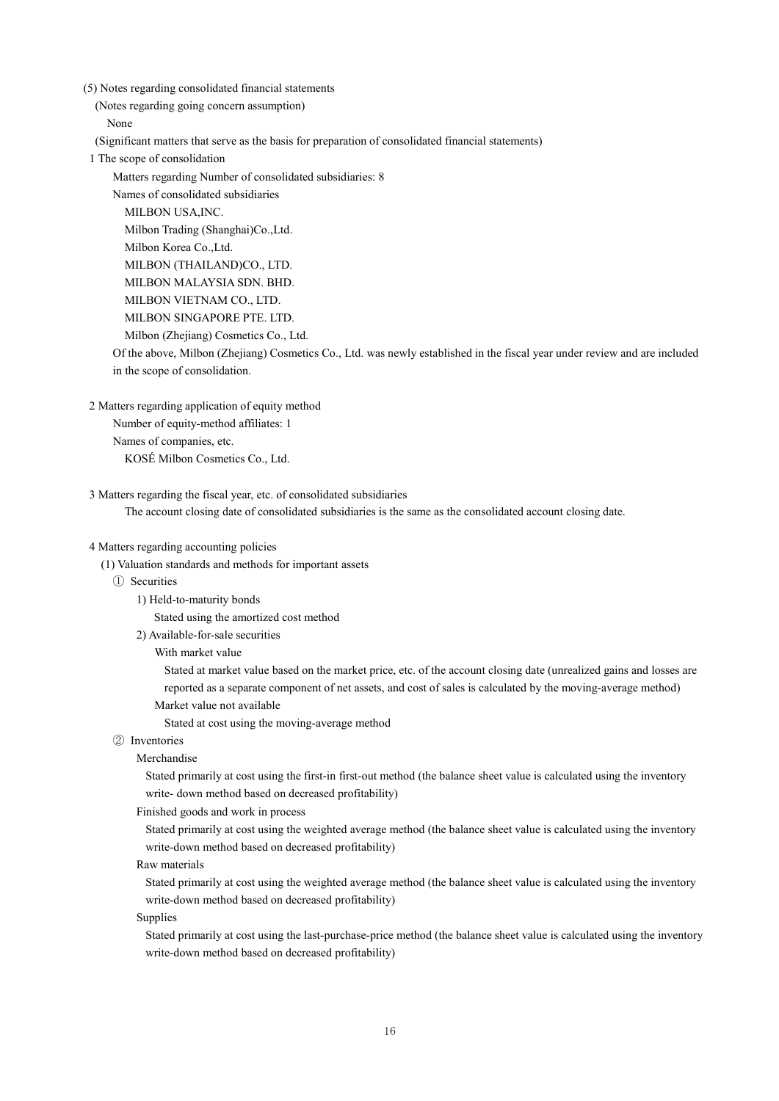(5) Notes regarding consolidated financial statements

(Notes regarding going concern assumption)

None

(Significant matters that serve as the basis for preparation of consolidated financial statements)

1 The scope of consolidation

Matters regarding Number of consolidated subsidiaries: 8

Names of consolidated subsidiaries MILBON USA,INC. Milbon Trading (Shanghai)Co.,Ltd. Milbon Korea Co.,Ltd. MILBON (THAILAND)CO., LTD. MILBON MALAYSIA SDN. BHD. MILBON VIETNAM CO., LTD. MILBON SINGAPORE PTE. LTD. Milbon (Zhejiang) Cosmetics Co., Ltd.

Of the above, Milbon (Zhejiang) Cosmetics Co., Ltd. was newly established in the fiscal year under review and are included in the scope of consolidation.

2 Matters regarding application of equity method

Number of equity-method affiliates: 1 Names of companies, etc.

KOSÉ Milbon Cosmetics Co., Ltd.

3 Matters regarding the fiscal year, etc. of consolidated subsidiaries

The account closing date of consolidated subsidiaries is the same as the consolidated account closing date.

### 4 Matters regarding accounting policies

- (1) Valuation standards and methods for important assets
	- ① Securities
		- 1) Held-to-maturity bonds

Stated using the amortized cost method

- 2) Available-for-sale securities
	- With market value

Stated at market value based on the market price, etc. of the account closing date (unrealized gains and losses are reported as a separate component of net assets, and cost of sales is calculated by the moving-average method)

Market value not available

Stated at cost using the moving-average method

② Inventories

## Merchandise

Stated primarily at cost using the first-in first-out method (the balance sheet value is calculated using the inventory write- down method based on decreased profitability)

Finished goods and work in process

Stated primarily at cost using the weighted average method (the balance sheet value is calculated using the inventory write-down method based on decreased profitability)

Raw materials

Stated primarily at cost using the weighted average method (the balance sheet value is calculated using the inventory write-down method based on decreased profitability)

Supplies

Stated primarily at cost using the last-purchase-price method (the balance sheet value is calculated using the inventory write-down method based on decreased profitability)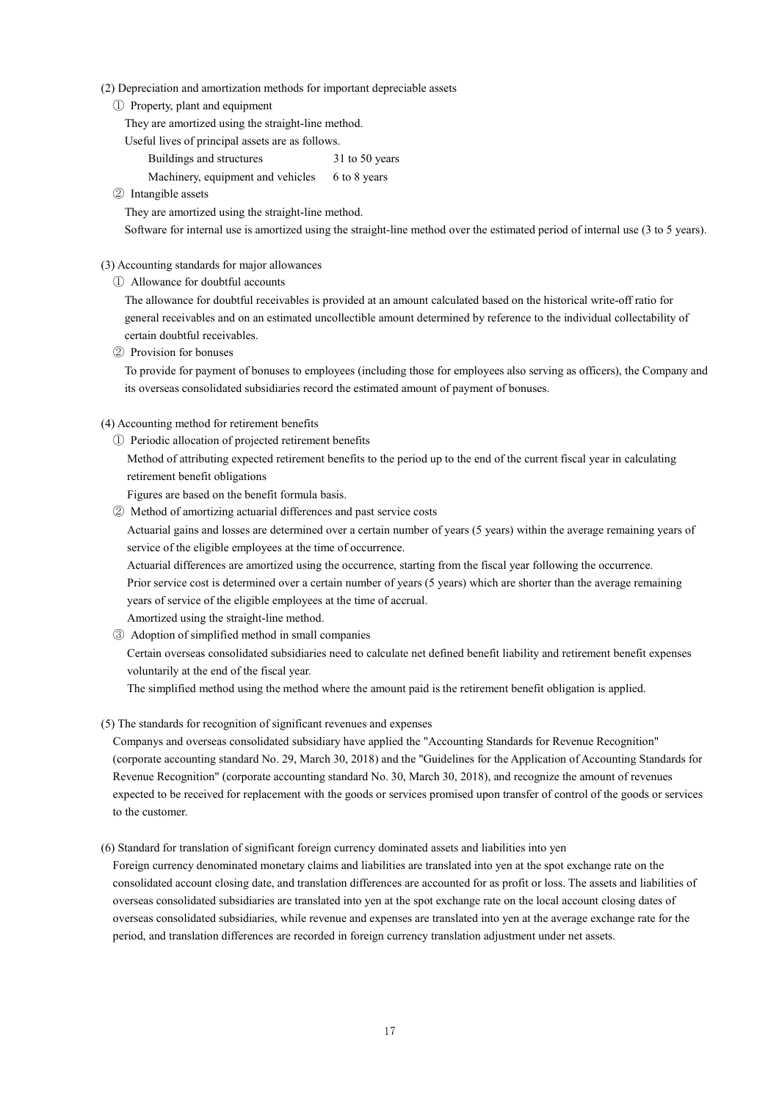- (2) Depreciation and amortization methods for important depreciable assets
	- ① Property, plant and equipment
		- They are amortized using the straight-line method.
		- Useful lives of principal assets are as follows.
			- Buildings and structures 31 to 50 years Machinery, equipment and vehicles 6 to 8 years
	- ② Intangible assets

They are amortized using the straight-line method.

Software for internal use is amortized using the straight-line method over the estimated period of internal use (3 to 5 years).

## (3) Accounting standards for major allowances

① Allowance for doubtful accounts

The allowance for doubtful receivables is provided at an amount calculated based on the historical write-off ratio for general receivables and on an estimated uncollectible amount determined by reference to the individual collectability of certain doubtful receivables.

② Provision for bonuses

To provide for payment of bonuses to employees (including those for employees also serving as officers), the Company and its overseas consolidated subsidiaries record the estimated amount of payment of bonuses.

### (4) Accounting method for retirement benefits

① Periodic allocation of projected retirement benefits Method of attributing expected retirement benefits to the period up to the end of the current fiscal year in calculating retirement benefit obligations

Figures are based on the benefit formula basis.

② Method of amortizing actuarial differences and past service costs

Actuarial gains and losses are determined over a certain number of years (5 years) within the average remaining years of service of the eligible employees at the time of occurrence.

Actuarial differences are amortized using the occurrence, starting from the fiscal year following the occurrence. Prior service cost is determined over a certain number of years (5 years) which are shorter than the average remaining years of service of the eligible employees at the time of accrual.

Amortized using the straight-line method.

③ Adoption of simplified method in small companies

Certain overseas consolidated subsidiaries need to calculate net defined benefit liability and retirement benefit expenses voluntarily at the end of the fiscal year.

The simplified method using the method where the amount paid is the retirement benefit obligation is applied.

(5) The standards for recognition of significant revenues and expenses

Companys and overseas consolidated subsidiary have applied the "Accounting Standards for Revenue Recognition" (corporate accounting standard No. 29, March 30, 2018) and the "Guidelines for the Application of Accounting Standards for Revenue Recognition" (corporate accounting standard No. 30, March 30, 2018), and recognize the amount of revenues expected to be received for replacement with the goods or services promised upon transfer of control of the goods or services to the customer.

(6) Standard for translation of significant foreign currency dominated assets and liabilities into yen

Foreign currency denominated monetary claims and liabilities are translated into yen at the spot exchange rate on the consolidated account closing date, and translation differences are accounted for as profit or loss. The assets and liabilities of overseas consolidated subsidiaries are translated into yen at the spot exchange rate on the local account closing dates of overseas consolidated subsidiaries, while revenue and expenses are translated into yen at the average exchange rate for the period, and translation differences are recorded in foreign currency translation adjustment under net assets.